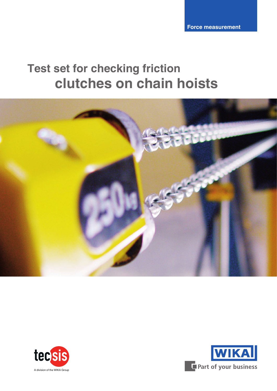**Force measurement**

### **Test set for checking friction clutches on chain hoists**





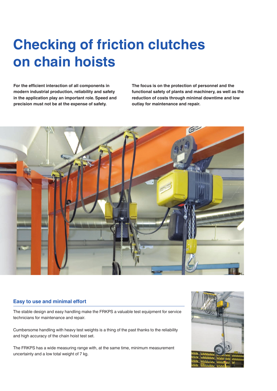## **Checking of friction clutches on chain hoists**

**For the efficient interaction of all components in modern industrial production, reliability and safety in the application play an important role. Speed and precision must not be at the expense of safety.**

**The focus is on the protection of personnel and the functional safety of plants and machinery, as well as the reduction of costs through minimal downtime and low outlay for maintenance and repair.**



### **Easy to use and minimal effort**

The stable design and easy handling make the FRKPS a valuable test equipment for service technicians for maintenance and repair.

Cumbersome handling with heavy test weights is a thing of the past thanks to the reliability and high accuracy of the chain hoist test set.

The FRKPS has a wide measuring range with, at the same time, minimum measurement uncertainty and a low total weight of 7 kg.

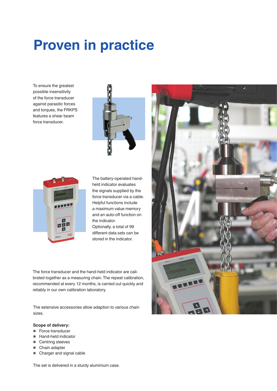## **Proven in practice**

To ensure the greatest possible insensitivity of the force transducer against parasitic forces and torques, the FRKPS features a shear beam force transducer.





The battery-operated handheld indicator evaluates the signals supplied by the force transducer via a cable. Helpful functions include a maximum value memory and an auto-off function on the indicator. Optionally, a total of 99

different data sets can be stored in the indicator.

The force transducer and the hand-held indicator are calibrated together as a measuring chain. The repeat calibration, recommended at every 12 months, is carried out quickly and reliably in our own calibration laboratory.

The extensive accessories allow adaption to various chain sizes.

#### **Scope of delivery:**

- Force transducer
- Hand-held indicator
- Centring sleeves
- Chain adapter
- Charger and signal cable

The set is delivered in a sturdy aluminium case.